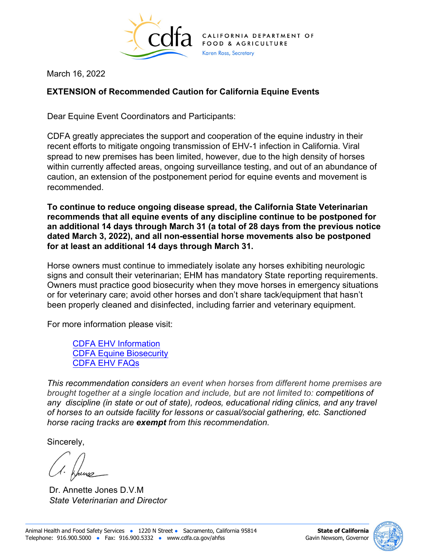

March 16, 2022

## **EXTENSION of Recommended Caution for California Equine Events**

Dear Equine Event Coordinators and Participants:

CDFA greatly appreciates the support and cooperation of the equine industry in their recent efforts to mitigate ongoing transmission of EHV-1 infection in California. Viral spread to new premises has been limited, however, due to the high density of horses within currently affected areas, ongoing surveillance testing, and out of an abundance of caution, an extension of the postponement period for equine events and movement is recommended.

**To continue to reduce ongoing disease spread, the California State Veterinarian recommends that all equine events of any discipline continue to be postponed for an additional 14 days through March 31 (a total of 28 days from the previous notice dated March 3, 2022), and all non-essential horse movements also be postponed for at least an additional 14 days through March 31.**

Horse owners must continue to immediately isolate any horses exhibiting neurologic signs and consult their veterinarian; EHM has mandatory State reporting requirements. Owners must practice good biosecurity when they move horses in emergency situations or for veterinary care; avoid other horses and don't share tack/equipment that hasn't been properly cleaned and disinfected, including farrier and veterinary equipment.

For more information please visit:

[CDFA EHV Information](https://www.cdfa.ca.gov/AHFSS/animal_health/equine_herpes_virus.html) [CDFA Equine Biosecurity](https://www.cdfa.ca.gov/AHFSS/animal_health/Equine_Biosecurity.html) [CDFA EHV FAQs](https://www.cdfa.ca.gov/ahfss/Animal_Health/pdfs/EHM_Frequently_Asked_Questions.pdf)

*This recommendation considers an event when horses from different home premises are brought together at a single location and include, but are not limited to: competitions of any discipline (in state or out of state), rodeos, educational riding clinics, and any travel of horses to an outside facility for lessons or casual/social gathering, etc. Sanctioned horse racing tracks are exempt from this recommendation.* 

Sincerely,

Dr. Annette Jones D.V.M *State Veterinarian and Director*